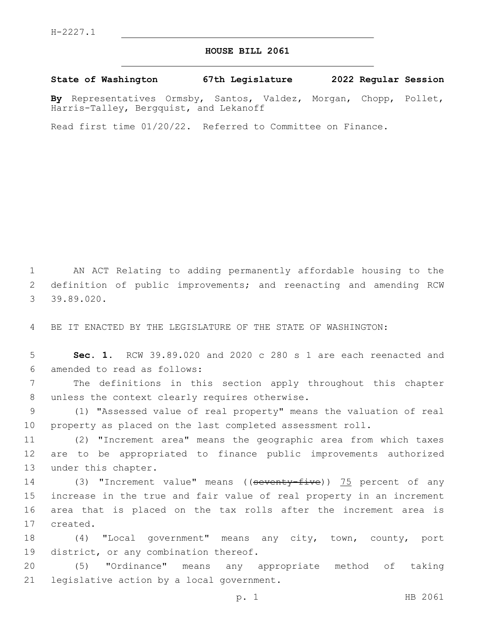## **HOUSE BILL 2061**

**State of Washington 67th Legislature 2022 Regular Session**

**By** Representatives Ormsby, Santos, Valdez, Morgan, Chopp, Pollet, Harris-Talley, Bergquist, and Lekanoff

Read first time 01/20/22. Referred to Committee on Finance.

1 AN ACT Relating to adding permanently affordable housing to the 2 definition of public improvements; and reenacting and amending RCW 39.89.020.3

4 BE IT ENACTED BY THE LEGISLATURE OF THE STATE OF WASHINGTON:

5 **Sec. 1.** RCW 39.89.020 and 2020 c 280 s 1 are each reenacted and 6 amended to read as follows:

7 The definitions in this section apply throughout this chapter 8 unless the context clearly requires otherwise.

9 (1) "Assessed value of real property" means the valuation of real 10 property as placed on the last completed assessment roll.

11 (2) "Increment area" means the geographic area from which taxes 12 are to be appropriated to finance public improvements authorized 13 under this chapter.

14 (3) "Increment value" means ((seventy-five)) 75 percent of any 15 increase in the true and fair value of real property in an increment 16 area that is placed on the tax rolls after the increment area is 17 created.

18 (4) "Local government" means any city, town, county, port 19 district, or any combination thereof.

20 (5) "Ordinance" means any appropriate method of taking 21 legislative action by a local government.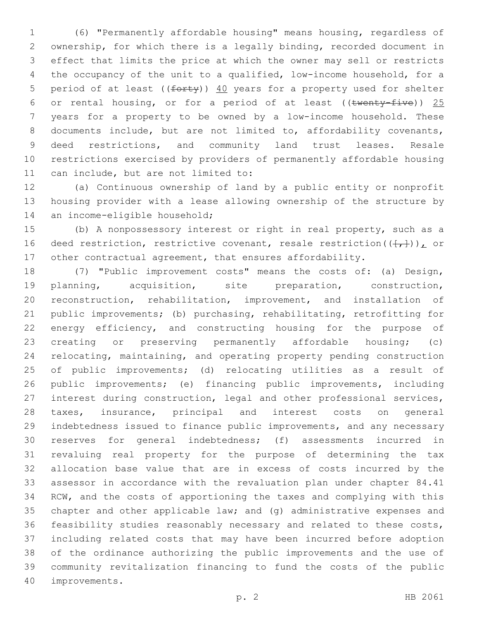(6) "Permanently affordable housing" means housing, regardless of ownership, for which there is a legally binding, recorded document in effect that limits the price at which the owner may sell or restricts the occupancy of the unit to a qualified, low-income household, for a 5 period of at least ( $(forty)$ )  $40$  years for a property used for shelter 6 or rental housing, or for a period of at least (( $t$ wenty-five)) 25 years for a property to be owned by a low-income household. These documents include, but are not limited to, affordability covenants, deed restrictions, and community land trust leases. Resale restrictions exercised by providers of permanently affordable housing 11 can include, but are not limited to:

 (a) Continuous ownership of land by a public entity or nonprofit housing provider with a lease allowing ownership of the structure by 14 an income-eligible household;

 (b) A nonpossessory interest or right in real property, such as a 16 deed restriction, restrictive covenant, resale restriction( $(\frac{1}{t},\frac{1}{t})$ ), or other contractual agreement, that ensures affordability.

 (7) "Public improvement costs" means the costs of: (a) Design, planning, acquisition, site preparation, construction, reconstruction, rehabilitation, improvement, and installation of public improvements; (b) purchasing, rehabilitating, retrofitting for 22 energy efficiency, and constructing housing for the purpose of creating or preserving permanently affordable housing; (c) relocating, maintaining, and operating property pending construction of public improvements; (d) relocating utilities as a result of public improvements; (e) financing public improvements, including interest during construction, legal and other professional services, taxes, insurance, principal and interest costs on general indebtedness issued to finance public improvements, and any necessary reserves for general indebtedness; (f) assessments incurred in revaluing real property for the purpose of determining the tax allocation base value that are in excess of costs incurred by the assessor in accordance with the revaluation plan under chapter 84.41 RCW, and the costs of apportioning the taxes and complying with this chapter and other applicable law; and (g) administrative expenses and feasibility studies reasonably necessary and related to these costs, including related costs that may have been incurred before adoption of the ordinance authorizing the public improvements and the use of community revitalization financing to fund the costs of the public 40 improvements.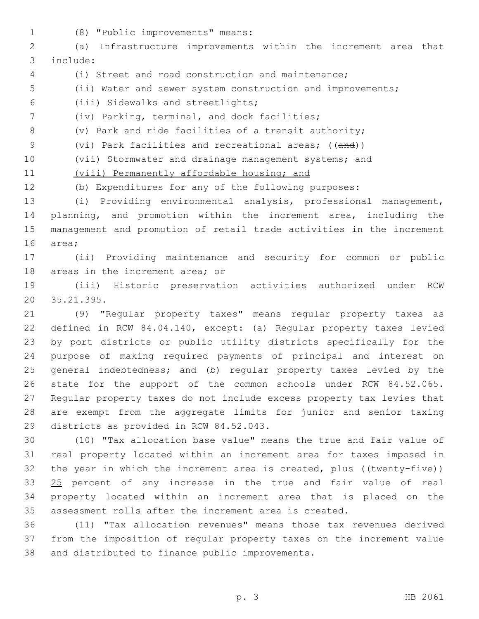(8) "Public improvements" means:1

 (a) Infrastructure improvements within the increment area that include:3

- (i) Street and road construction and maintenance;
- (ii) Water and sewer system construction and improvements;

(iii) Sidewalks and streetlights;6

7 (iv) Parking, terminal, and dock facilities;

(v) Park and ride facilities of a transit authority;

9 (vi) Park facilities and recreational areas; ((and))

(vii) Stormwater and drainage management systems; and

11 (viii) Permanently affordable housing; and

(b) Expenditures for any of the following purposes:

 (i) Providing environmental analysis, professional management, planning, and promotion within the increment area, including the management and promotion of retail trade activities in the increment 16 area;

 (ii) Providing maintenance and security for common or public 18 areas in the increment area; or

 (iii) Historic preservation activities authorized under RCW 35.21.395.20

 (9) "Regular property taxes" means regular property taxes as defined in RCW 84.04.140, except: (a) Regular property taxes levied by port districts or public utility districts specifically for the purpose of making required payments of principal and interest on general indebtedness; and (b) regular property taxes levied by the state for the support of the common schools under RCW 84.52.065. Regular property taxes do not include excess property tax levies that are exempt from the aggregate limits for junior and senior taxing 29 districts as provided in RCW 84.52.043.

 (10) "Tax allocation base value" means the true and fair value of real property located within an increment area for taxes imposed in 32 the year in which the increment area is created, plus ( $(\text{twenty-five})$ ) 33 25 percent of any increase in the true and fair value of real property located within an increment area that is placed on the assessment rolls after the increment area is created.

 (11) "Tax allocation revenues" means those tax revenues derived from the imposition of regular property taxes on the increment value 38 and distributed to finance public improvements.